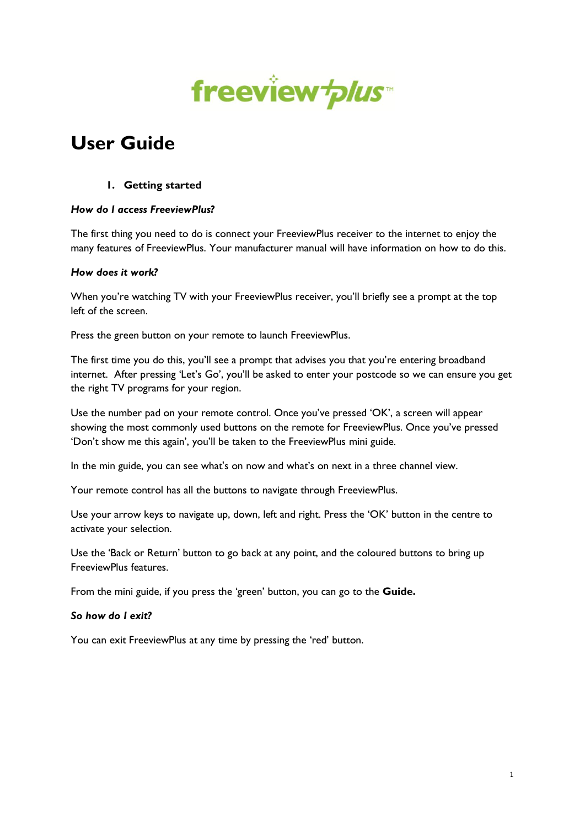

# **User Guide**

## **1. Getting started**

## *How do I access FreeviewPlus?*

The first thing you need to do is connect your FreeviewPlus receiver to the internet to enjoy the many features of FreeviewPlus. Your manufacturer manual will have information on how to do this.

#### *How does it work?*

When you're watching TV with your FreeviewPlus receiver, you'll briefly see a prompt at the top left of the screen.

Press the green button on your remote to launch FreeviewPlus.

The first time you do this, you'll see a prompt that advises you that you're entering broadband internet. After pressing 'Let's Go', you'll be asked to enter your postcode so we can ensure you get the right TV programs for your region.

Use the number pad on your remote control. Once you've pressed 'OK', a screen will appear showing the most commonly used buttons on the remote for FreeviewPlus. Once you've pressed 'Don't show me this again', you'll be taken to the FreeviewPlus mini guide.

In the min guide, you can see what's on now and what's on next in a three channel view.

Your remote control has all the buttons to navigate through FreeviewPlus.

Use your arrow keys to navigate up, down, left and right. Press the 'OK' button in the centre to activate your selection.

Use the 'Back or Return' button to go back at any point, and the coloured buttons to bring up FreeviewPlus features.

From the mini guide, if you press the 'green' button, you can go to the **Guide.**

#### *So how do I exit?*

You can exit FreeviewPlus at any time by pressing the 'red' button.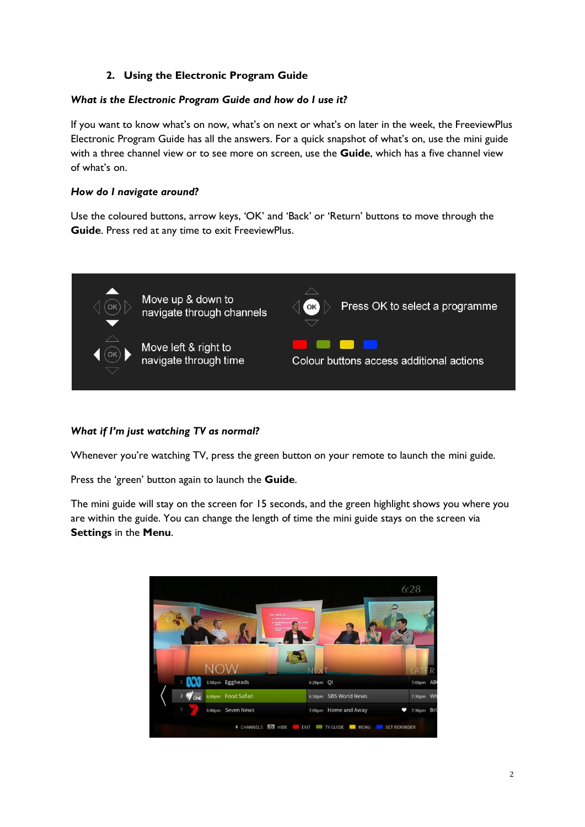# **2. Using the Electronic Program Guide**

## *What is the Electronic Program Guide and how do I use it?*

If you want to know what's on now, what's on next or what's on later in the week, the FreeviewPlus Electronic Program Guide has all the answers. For a quick snapshot of what's on, use the mini guide with a three channel view or to see more on screen, use the **Guide**, which has a five channel view of what's on.

## *How do I navigate around?*

Use the coloured buttons, arrow keys, 'OK' and 'Back' or 'Return' buttons to move through the **Guide**. Press red at any time to exit FreeviewPlus.



## *What if I'm just watching TV as normal?*

Whenever you're watching TV, press the green button on your remote to launch the mini guide.

Press the 'green' button again to launch the **Guide**.

The mini guide will stay on the screen for 15 seconds, and the green highlight shows you where you are within the guide. You can change the length of time the mini guide stays on the screen via **Settings** in the **Menu**.

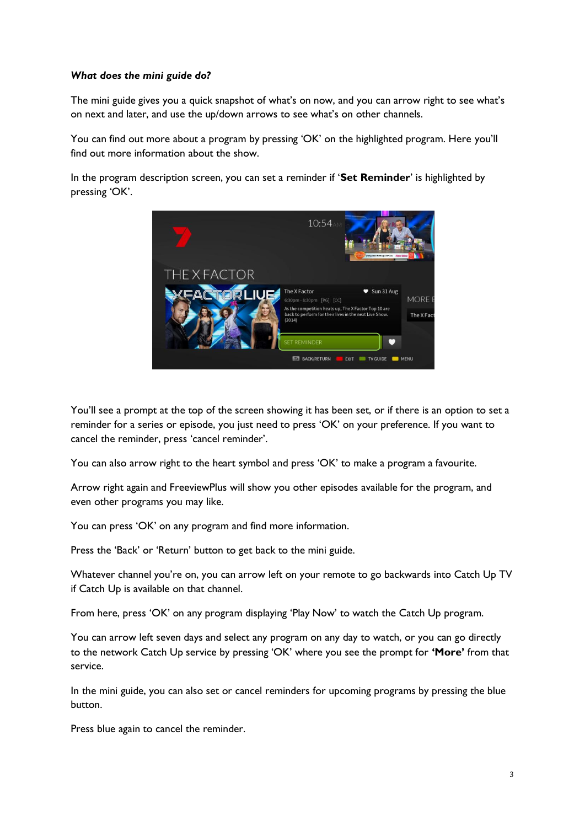## *What does the mini guide do?*

The mini guide gives you a quick snapshot of what's on now, and you can arrow right to see what's on next and later, and use the up/down arrows to see what's on other channels.

You can find out more about a program by pressing 'OK' on the highlighted program. Here you'll find out more information about the show.

In the program description screen, you can set a reminder if '**Set Reminder**' is highlighted by pressing 'OK'.



You'll see a prompt at the top of the screen showing it has been set, or if there is an option to set a reminder for a series or episode, you just need to press 'OK' on your preference. If you want to cancel the reminder, press 'cancel reminder'.

You can also arrow right to the heart symbol and press 'OK' to make a program a favourite.

Arrow right again and FreeviewPlus will show you other episodes available for the program, and even other programs you may like.

You can press 'OK' on any program and find more information.

Press the 'Back' or 'Return' button to get back to the mini guide.

Whatever channel you're on, you can arrow left on your remote to go backwards into Catch Up TV if Catch Up is available on that channel.

From here, press 'OK' on any program displaying 'Play Now' to watch the Catch Up program.

You can arrow left seven days and select any program on any day to watch, or you can go directly to the network Catch Up service by pressing 'OK' where you see the prompt for **'More'** from that service.

In the mini guide, you can also set or cancel reminders for upcoming programs by pressing the blue button.

Press blue again to cancel the reminder.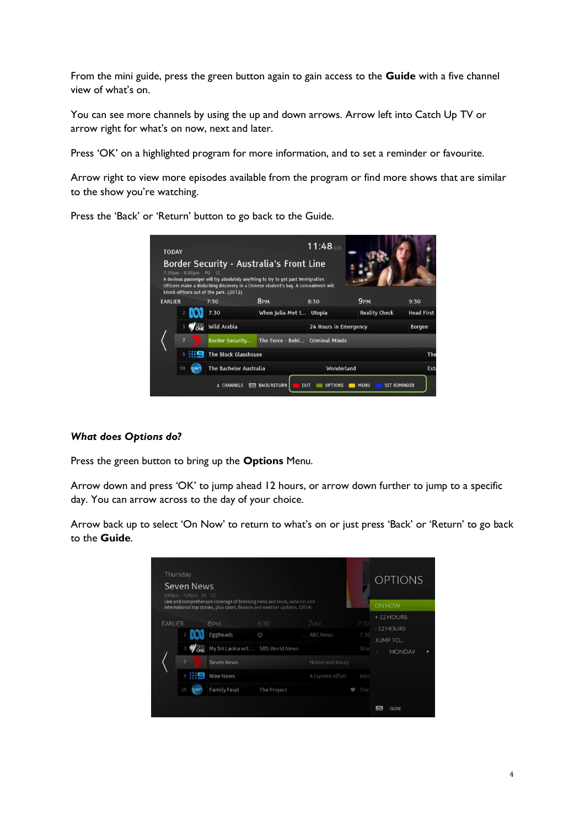From the mini guide, press the green button again to gain access to the **Guide** with a five channel view of what's on.

You can see more channels by using the up and down arrows. Arrow left into Catch Up TV or arrow right for what's on now, next and later.

Press 'OK' on a highlighted program for more information, and to set a reminder or favourite.

Arrow right to view more episodes available from the program or find more shows that are similar to the show you're watching.

Press the 'Back' or 'Return' button to go back to the Guide.



## *What does Options do?*

Press the green button to bring up the **Options** Menu.

Arrow down and press 'OK' to jump ahead 12 hours, or arrow down further to jump to a specific day. You can arrow across to the day of your choice.

Arrow back up to select 'On Now' to return to what's on or just press 'Back' or 'Return' to go back to the **Guide**.

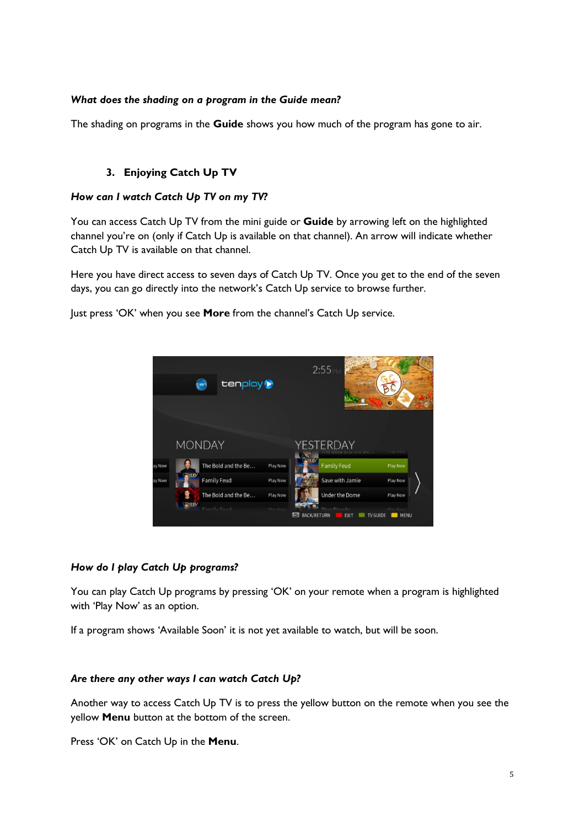## *What does the shading on a program in the Guide mean?*

The shading on programs in the **Guide** shows you how much of the program has gone to air.

## **3. Enjoying Catch Up TV**

## *How can I watch Catch Up TV on my TV?*

You can access Catch Up TV from the mini guide or **Guide** by arrowing left on the highlighted channel you're on (only if Catch Up is available on that channel). An arrow will indicate whether Catch Up TV is available on that channel.

Here you have direct access to seven days of Catch Up TV. Once you get to the end of the seven days, you can go directly into the network's Catch Up service to browse further.

Just press 'OK' when you see **More** from the channel's Catch Up service.



## *How do I play Catch Up programs?*

You can play Catch Up programs by pressing 'OK' on your remote when a program is highlighted with 'Play Now' as an option.

If a program shows 'Available Soon' it is not yet available to watch, but will be soon.

#### *Are there any other ways I can watch Catch Up?*

Another way to access Catch Up TV is to press the yellow button on the remote when you see the yellow **Menu** button at the bottom of the screen.

Press 'OK' on Catch Up in the **Menu**.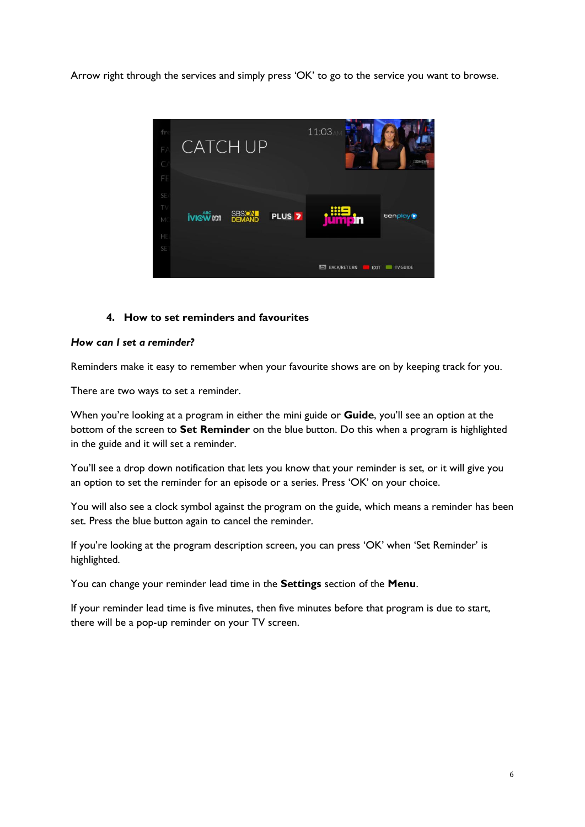Arrow right through the services and simply press 'OK' to go to the service you want to browse.



## **4. How to set reminders and favourites**

#### *How can I set a reminder?*

Reminders make it easy to remember when your favourite shows are on by keeping track for you.

There are two ways to set a reminder.

When you're looking at a program in either the mini guide or **Guide**, you'll see an option at the bottom of the screen to **Set Reminder** on the blue button. Do this when a program is highlighted in the guide and it will set a reminder.

You'll see a drop down notification that lets you know that your reminder is set, or it will give you an option to set the reminder for an episode or a series. Press 'OK' on your choice.

You will also see a clock symbol against the program on the guide, which means a reminder has been set. Press the blue button again to cancel the reminder.

If you're looking at the program description screen, you can press 'OK' when 'Set Reminder' is highlighted.

You can change your reminder lead time in the **Settings** section of the **Menu**.

If your reminder lead time is five minutes, then five minutes before that program is due to start, there will be a pop-up reminder on your TV screen.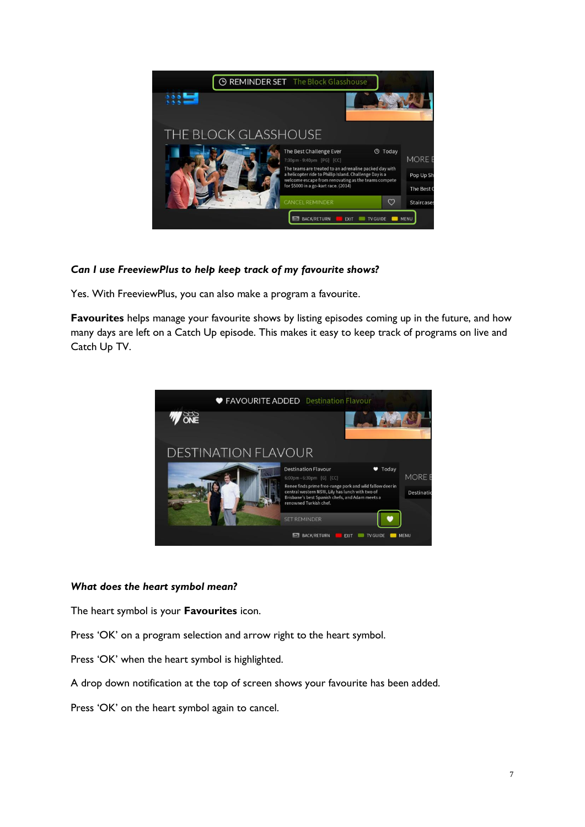

# *Can I use FreeviewPlus to help keep track of my favourite shows?*

Yes. With FreeviewPlus, you can also make a program a favourite.

**Favourites** helps manage your favourite shows by listing episodes coming up in the future, and how many days are left on a Catch Up episode. This makes it easy to keep track of programs on live and Catch Up TV.



#### *What does the heart symbol mean?*

The heart symbol is your **Favourites** icon.

Press 'OK' on a program selection and arrow right to the heart symbol.

Press 'OK' when the heart symbol is highlighted.

A drop down notification at the top of screen shows your favourite has been added.

Press 'OK' on the heart symbol again to cancel.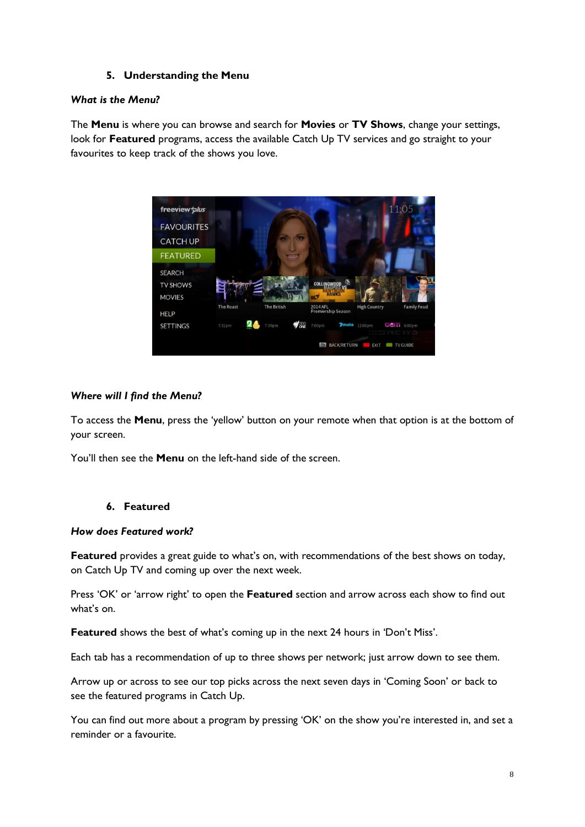## **5. Understanding the Menu**

## *What is the Menu?*

The **Menu** is where you can browse and search for **Movies** or **TV Shows**, change your settings, look for **Featured** programs, access the available Catch Up TV services and go straight to your favourites to keep track of the shows you love.



## *Where will I find the Menu?*

To access the **Menu**, press the 'yellow' button on your remote when that option is at the bottom of your screen.

You'll then see the **Menu** on the left-hand side of the screen.

# **6. Featured**

#### *How does Featured work?*

**Featured** provides a great guide to what's on, with recommendations of the best shows on today, on Catch Up TV and coming up over the next week.

Press 'OK' or 'arrow right' to open the **Featured** section and arrow across each show to find out what's on.

**Featured** shows the best of what's coming up in the next 24 hours in 'Don't Miss'.

Each tab has a recommendation of up to three shows per network; just arrow down to see them.

Arrow up or across to see our top picks across the next seven days in 'Coming Soon' or back to see the featured programs in Catch Up.

You can find out more about a program by pressing 'OK' on the show you're interested in, and set a reminder or a favourite.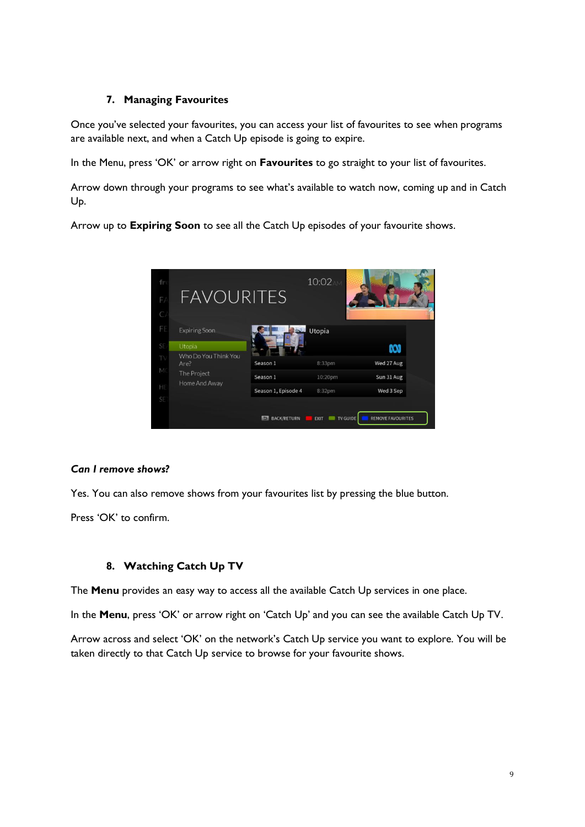# **7. Managing Favourites**

Once you've selected your favourites, you can access your list of favourites to see when programs are available next, and when a Catch Up episode is going to expire.

In the Menu, press 'OK' or arrow right on **Favourites** to go straight to your list of favourites.

Arrow down through your programs to see what's available to watch now, coming up and in Catch Up.

Arrow up to **Expiring Soon** to see all the Catch Up episodes of your favourite shows.



## *Can I remove shows?*

Yes. You can also remove shows from your favourites list by pressing the blue button.

Press 'OK' to confirm.

## **8. Watching Catch Up TV**

The **Menu** provides an easy way to access all the available Catch Up services in one place.

In the **Menu**, press 'OK' or arrow right on 'Catch Up' and you can see the available Catch Up TV.

Arrow across and select 'OK' on the network's Catch Up service you want to explore. You will be taken directly to that Catch Up service to browse for your favourite shows.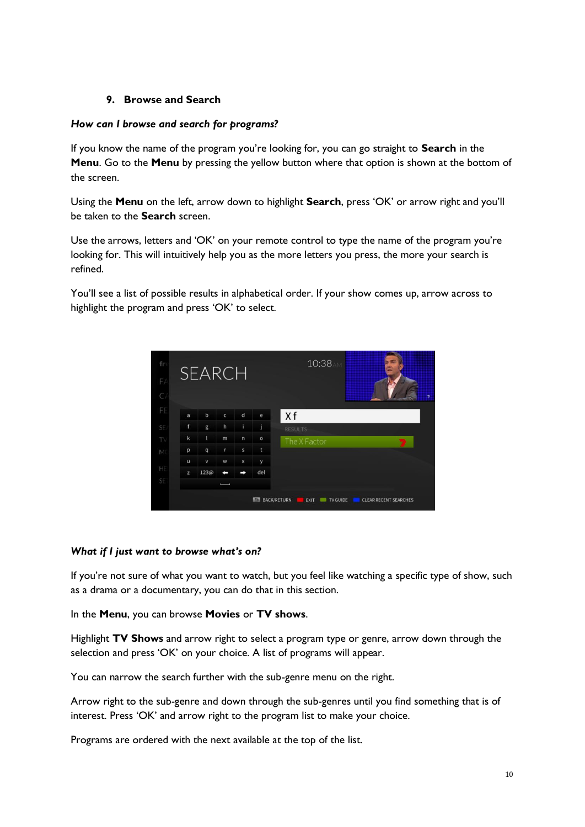# **9. Browse and Search**

## *How can I browse and search for programs?*

If you know the name of the program you're looking for, you can go straight to **Search** in the **Menu**. Go to the **Menu** by pressing the yellow button where that option is shown at the bottom of the screen.

Using the **Menu** on the left, arrow down to highlight **Search**, press 'OK' or arrow right and you'll be taken to the **Search** screen.

Use the arrows, letters and 'OK' on your remote control to type the name of the program you're looking for. This will intuitively help you as the more letters you press, the more your search is refined.

You'll see a list of possible results in alphabetical order. If your show comes up, arrow across to highlight the program and press 'OK' to select.



#### *What if I just want to browse what's on?*

If you're not sure of what you want to watch, but you feel like watching a specific type of show, such as a drama or a documentary, you can do that in this section.

In the **Menu**, you can browse **Movies** or **TV shows**.

Highlight **TV Shows** and arrow right to select a program type or genre, arrow down through the selection and press 'OK' on your choice. A list of programs will appear.

You can narrow the search further with the sub-genre menu on the right.

Arrow right to the sub-genre and down through the sub-genres until you find something that is of interest. Press 'OK' and arrow right to the program list to make your choice.

Programs are ordered with the next available at the top of the list.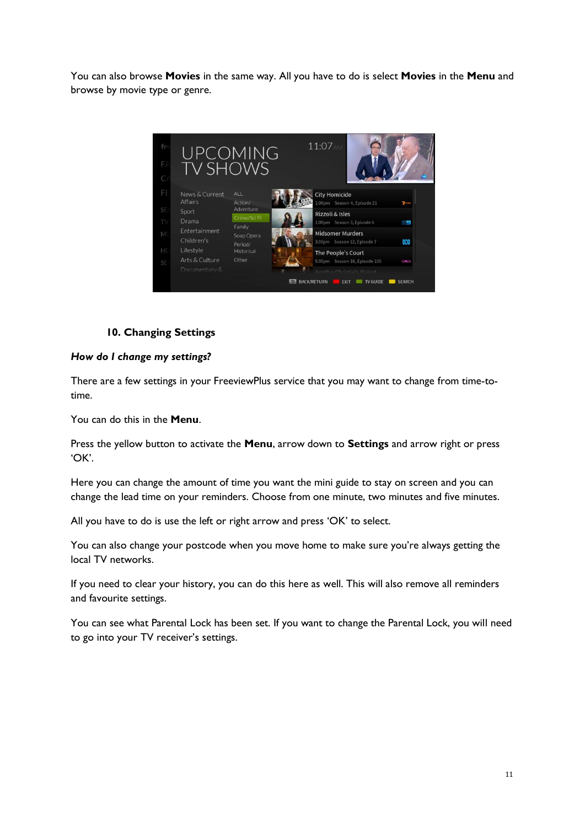You can also browse **Movies** in the same way. All you have to do is select **Movies** in the **Menu** and browse by movie type or genre.



# **10. Changing Settings**

## *How do I change my settings?*

There are a few settings in your FreeviewPlus service that you may want to change from time-totime.

You can do this in the **Menu**.

Press the yellow button to activate the **Menu**, arrow down to **Settings** and arrow right or press 'OK'.

Here you can change the amount of time you want the mini guide to stay on screen and you can change the lead time on your reminders. Choose from one minute, two minutes and five minutes.

All you have to do is use the left or right arrow and press 'OK' to select.

You can also change your postcode when you move home to make sure you're always getting the local TV networks.

If you need to clear your history, you can do this here as well. This will also remove all reminders and favourite settings.

You can see what Parental Lock has been set. If you want to change the Parental Lock, you will need to go into your TV receiver's settings.